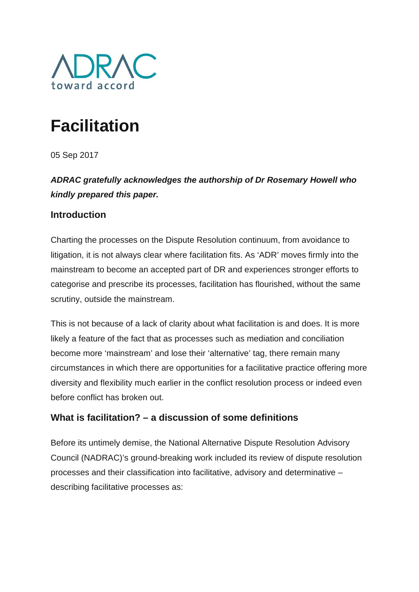

# **Facilitation**

05 Sep 2017

*ADRAC gratefully acknowledges the authorship of Dr Rosemary Howell who kindly prepared this paper.*

## **Introduction**

Charting the processes on the Dispute Resolution continuum, from avoidance to litigation, it is not always clear where facilitation fits. As 'ADR' moves firmly into the mainstream to become an accepted part of DR and experiences stronger efforts to categorise and prescribe its processes, facilitation has flourished, without the same scrutiny, outside the mainstream.

This is not because of a lack of clarity about what facilitation is and does. It is more likely a feature of the fact that as processes such as mediation and conciliation become more 'mainstream' and lose their 'alternative' tag, there remain many circumstances in which there are opportunities for a facilitative practice offering more diversity and flexibility much earlier in the conflict resolution process or indeed even before conflict has broken out.

## **What is facilitation? – a discussion of some definitions**

Before its untimely demise, the National Alternative Dispute Resolution Advisory Council (NADRAC)'s ground-breaking work included its review of dispute resolution processes and their classification into facilitative, advisory and determinative – describing facilitative processes as: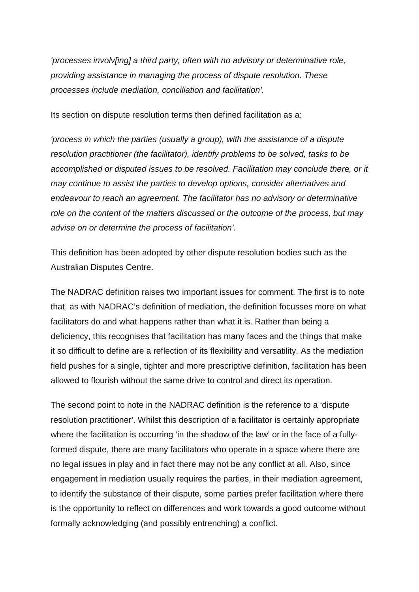*'processes involv[ing] a third party, often with no advisory or determinative role, providing assistance in managing the process of dispute resolution. These processes include mediation, conciliation and facilitation'.*

Its section on dispute resolution terms then defined facilitation as a:

*'process in which the parties (usually a group), with the assistance of a dispute resolution practitioner (the facilitator), identify problems to be solved, tasks to be accomplished or disputed issues to be resolved. Facilitation may conclude there, or it may continue to assist the parties to develop options, consider alternatives and endeavour to reach an agreement. The facilitator has no advisory or determinative role on the content of the matters discussed or the outcome of the process, but may advise on or determine the process of facilitation'.*

This definition has been adopted by other dispute resolution bodies such as the Australian Disputes Centre.

The NADRAC definition raises two important issues for comment. The first is to note that, as with NADRAC's definition of mediation, the definition focusses more on what facilitators do and what happens rather than what it is. Rather than being a deficiency, this recognises that facilitation has many faces and the things that make it so difficult to define are a reflection of its flexibility and versatility. As the mediation field pushes for a single, tighter and more prescriptive definition, facilitation has been allowed to flourish without the same drive to control and direct its operation.

The second point to note in the NADRAC definition is the reference to a 'dispute resolution practitioner'. Whilst this description of a facilitator is certainly appropriate where the facilitation is occurring 'in the shadow of the law' or in the face of a fullyformed dispute, there are many facilitators who operate in a space where there are no legal issues in play and in fact there may not be any conflict at all. Also, since engagement in mediation usually requires the parties, in their mediation agreement, to identify the substance of their dispute, some parties prefer facilitation where there is the opportunity to reflect on differences and work towards a good outcome without formally acknowledging (and possibly entrenching) a conflict.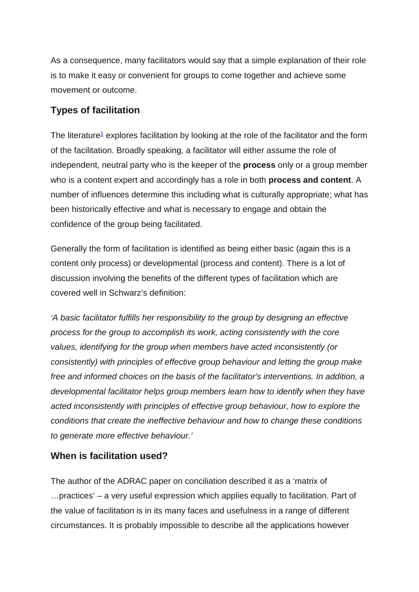As a consequence, many facilitators would say that a simple explanation of their role is to make it easy or convenient for groups to come together and achieve some movement or outcome.

#### **Types of facilitation**

The literature<sup>1</sup> explores facilitation by looking at the role of the facilitator and the form of the facilitation. Broadly speaking, a facilitator will either assume the role of independent, neutral party who is the keeper of the **process** only or a group member who is a content expert and accordingly has a role in both **process and content**. A number of influences determine this including what is culturally appropriate; what has been historically effective and what is necessary to engage and obtain the confidence of the group being facilitated.

Generally the form of facilitation is identified as being either basic (again this is a content only process) or developmental (process and content). There is a lot of discussion involving the benefits of the different types of facilitation which are covered well in Schwarz's definition:

*'A basic facilitator fulfills her responsibility to the group by designing an effective process for the group to accomplish its work, acting consistently with the core values, identifying for the group when members have acted inconsistently (or consistently) with principles of effective group behaviour and letting the group make free and informed choices on the basis of the facilitator's interventions. In addition, a developmental facilitator helps group members learn how to identify when they have acted inconsistently with principles of effective group behaviour, how to explore the conditions that create the ineffective behaviour and how to change these conditions to generate more effective behaviour.'*

#### **When is facilitation used?**

The author of the ADRAC paper on conciliation described it as a 'matrix of …practices' – a very useful expression which applies equally to facilitation. Part of the value of facilitation is in its many faces and usefulness in a range of different circumstances. It is probably impossible to describe all the applications however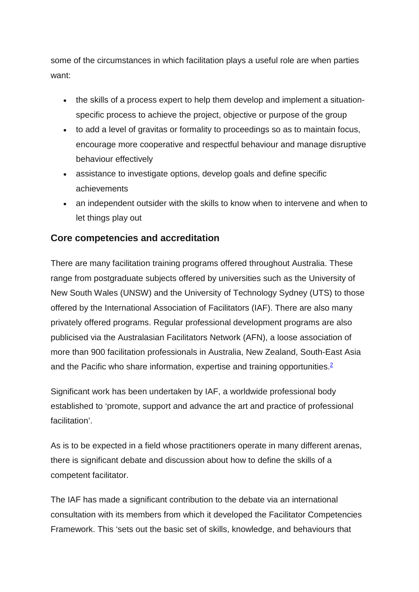some of the circumstances in which facilitation plays a useful role are when parties want:

- the skills of a process expert to help them develop and implement a situationspecific process to achieve the project, objective or purpose of the group
- to add a level of gravitas or formality to proceedings so as to maintain focus, encourage more cooperative and respectful behaviour and manage disruptive behaviour effectively
- assistance to investigate options, develop goals and define specific achievements
- an independent outsider with the skills to know when to intervene and when to let things play out

## **Core competencies and accreditation**

There are many facilitation training programs offered throughout Australia. These range from postgraduate subjects offered by universities such as the University of New South Wales (UNSW) and the University of Technology Sydney (UTS) to those offered by the International Association of Facilitators (IAF). There are also many privately offered programs. Regular professional development programs are also publicised via the Australasian Facilitators Network (AFN), a loose association of more than 900 facilitation professionals in Australia, New Zealand, South-East Asia and the Pacific who share information, expertise and training opportunities.<sup>2</sup>

Significant work has been undertaken by IAF, a worldwide professional body established to 'promote, support and advance the art and practice of professional facilitation'.

As is to be expected in a field whose practitioners operate in many different arenas, there is significant debate and discussion about how to define the skills of a competent facilitator.

The IAF has made a significant contribution to the debate via an international consultation with its members from which it developed the Facilitator Competencies Framework. This 'sets out the basic set of skills, knowledge, and behaviours that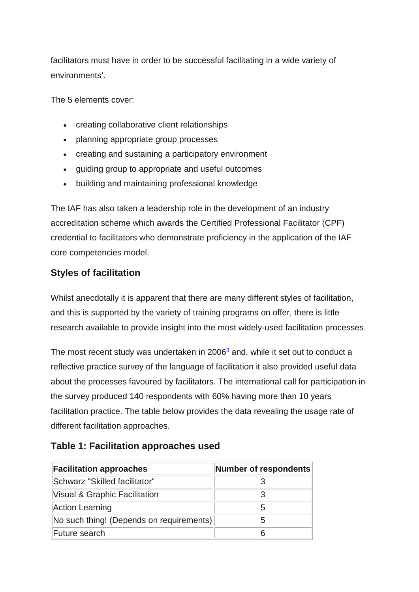facilitators must have in order to be successful facilitating in a wide variety of environments'.

The 5 elements cover:

- creating collaborative client relationships
- planning appropriate group processes
- creating and sustaining a participatory environment
- guiding group to appropriate and useful outcomes
- building and maintaining professional knowledge

The IAF has also taken a leadership role in the development of an industry accreditation scheme which awards the Certified Professional Facilitator (CPF) credential to facilitators who demonstrate proficiency in the application of the IAF core competencies model.

# **Styles of facilitation**

Whilst anecdotally it is apparent that there are many different styles of facilitation, and this is supported by the variety of training programs on offer, there is little research available to provide insight into the most widely-used facilitation processes.

The most recent study was undertaken in  $2006<sup>3</sup>$  and, while it set out to conduct a reflective practice survey of the language of facilitation it also provided useful data about the processes favoured by facilitators. The international call for participation in the survey produced 140 respondents with 60% having more than 10 years facilitation practice. The table below provides the data revealing the usage rate of different facilitation approaches.

| <b>Facilitation approaches</b>           | Number of respondents |
|------------------------------------------|-----------------------|
| Schwarz "Skilled facilitator"            |                       |
| Visual & Graphic Facilitation            |                       |
| Action Learning                          | 5                     |
| No such thing! (Depends on requirements) | 5                     |
| Future search                            | 6                     |

# **Table 1: Facilitation approaches used**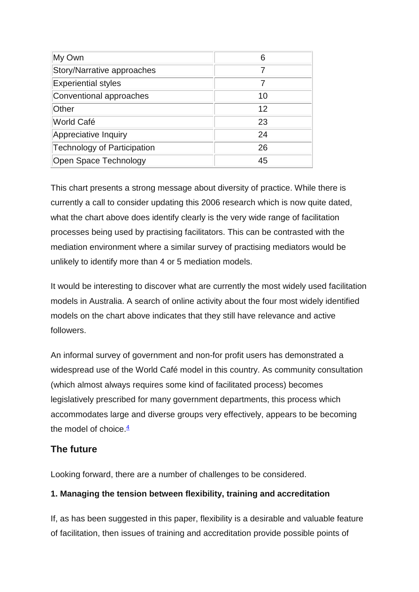| My Own                      | 6  |
|-----------------------------|----|
| Story/Narrative approaches  |    |
| <b>Experiential styles</b>  |    |
| Conventional approaches     | 10 |
| Other                       | 12 |
| World Café                  | 23 |
| Appreciative Inquiry        | 24 |
| Technology of Participation | 26 |
| Open Space Technology       | 45 |

This chart presents a strong message about diversity of practice. While there is currently a call to consider updating this 2006 research which is now quite dated, what the chart above does identify clearly is the very wide range of facilitation processes being used by practising facilitators. This can be contrasted with the mediation environment where a similar survey of practising mediators would be unlikely to identify more than 4 or 5 mediation models.

It would be interesting to discover what are currently the most widely used facilitation models in Australia. A search of online activity about the four most widely identified models on the chart above indicates that they still have relevance and active followers.

An informal survey of government and non-for profit users has demonstrated a widespread use of the World Café model in this country. As community consultation (which almost always requires some kind of facilitated process) becomes legislatively prescribed for many government departments, this process which accommodates large and diverse groups very effectively, appears to be becoming the model of choice  $\frac{4}{3}$ 

# **The future**

Looking forward, there are a number of challenges to be considered.

# **1. Managing the tension between flexibility, training and accreditation**

If, as has been suggested in this paper, flexibility is a desirable and valuable feature of facilitation, then issues of training and accreditation provide possible points of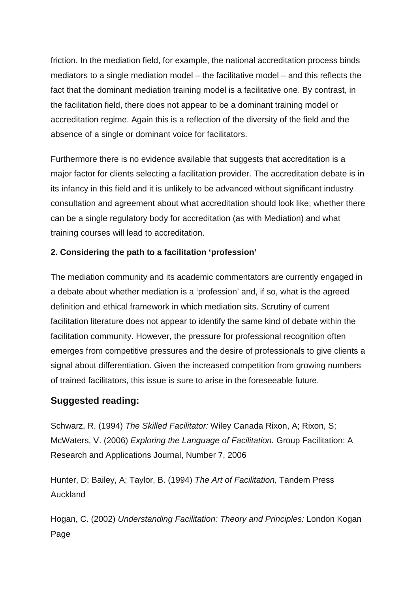friction. In the mediation field, for example, the national accreditation process binds mediators to a single mediation model – the facilitative model – and this reflects the fact that the dominant mediation training model is a facilitative one. By contrast, in the facilitation field, there does not appear to be a dominant training model or accreditation regime. Again this is a reflection of the diversity of the field and the absence of a single or dominant voice for facilitators.

Furthermore there is no evidence available that suggests that accreditation is a major factor for clients selecting a facilitation provider. The accreditation debate is in its infancy in this field and it is unlikely to be advanced without significant industry consultation and agreement about what accreditation should look like; whether there can be a single regulatory body for accreditation (as with Mediation) and what training courses will lead to accreditation.

#### **2. Considering the path to a facilitation 'profession'**

The mediation community and its academic commentators are currently engaged in a debate about whether mediation is a 'profession' and, if so, what is the agreed definition and ethical framework in which mediation sits. Scrutiny of current facilitation literature does not appear to identify the same kind of debate within the facilitation community. However, the pressure for professional recognition often emerges from competitive pressures and the desire of professionals to give clients a signal about differentiation. Given the increased competition from growing numbers of trained facilitators, this issue is sure to arise in the foreseeable future.

## **Suggested reading:**

Schwarz, R. (1994) *The Skilled Facilitator:* Wiley Canada Rixon, A; Rixon, S; McWaters, V. (2006) *Exploring the Language of Facilitation.* Group Facilitation: A Research and Applications Journal, Number 7, 2006

Hunter, D; Bailey, A; Taylor, B. (1994) *The Art of Facilitation,* Tandem Press Auckland

Hogan, C. (2002) *Understanding Facilitation: Theory and Principles:* London Kogan Page